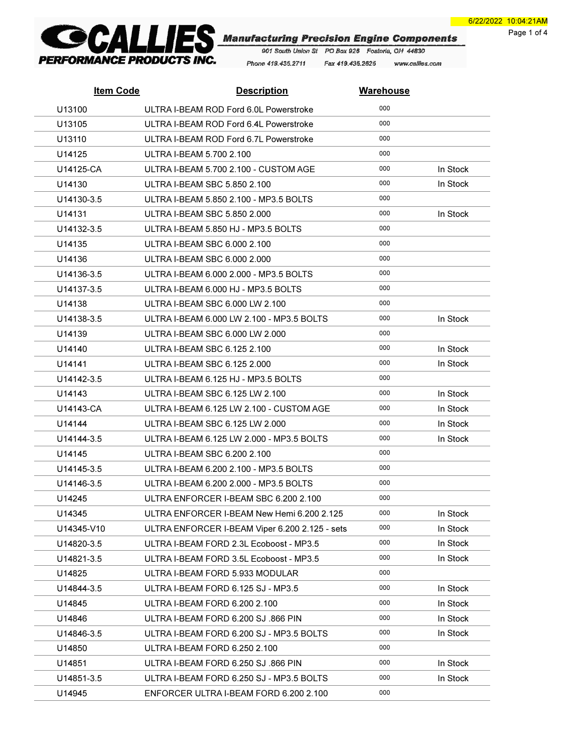Page 1 of 4



Phone 419.435.2711 Fax 419.435.2625 www.callies.com

| <b>Item Code</b> | <b>Description</b>                             | <b>Warehouse</b> |          |
|------------------|------------------------------------------------|------------------|----------|
| U13100           | ULTRA I-BEAM ROD Ford 6.0L Powerstroke         | 000              |          |
| U13105           | ULTRA I-BEAM ROD Ford 6.4L Powerstroke         | 000              |          |
| U13110           | ULTRA I-BEAM ROD Ford 6.7L Powerstroke         | 000              |          |
| U14125           | ULTRA I-BEAM 5.700 2.100                       | 000              |          |
| U14125-CA        | ULTRA I-BEAM 5.700 2.100 - CUSTOM AGE          | 000              | In Stock |
| U14130           | ULTRA I-BEAM SBC 5.850 2.100                   | 000              | In Stock |
| U14130-3.5       | ULTRA I-BEAM 5.850 2.100 - MP3.5 BOLTS         | 000              |          |
| U14131           | ULTRA I-BEAM SBC 5.850 2.000                   | 000              | In Stock |
| U14132-3.5       | ULTRA I-BEAM 5.850 HJ - MP3.5 BOLTS            | 000              |          |
| U14135           | ULTRA I-BEAM SBC 6.000 2.100                   | 000              |          |
| U14136           | ULTRA I-BEAM SBC 6.000 2.000                   | 000              |          |
| U14136-3.5       | ULTRA I-BEAM 6.000 2.000 - MP3.5 BOLTS         | 000              |          |
| U14137-3.5       | ULTRA I-BEAM 6.000 HJ - MP3.5 BOLTS            | 000              |          |
| U14138           | ULTRA I-BEAM SBC 6.000 LW 2.100                | 000              |          |
| U14138-3.5       | ULTRA I-BEAM 6.000 LW 2.100 - MP3.5 BOLTS      | 000              | In Stock |
| U14139           | ULTRA I-BEAM SBC 6.000 LW 2.000                | 000              |          |
| U14140           | ULTRA I-BEAM SBC 6.125 2.100                   | 000              | In Stock |
| U14141           | ULTRA I-BEAM SBC 6.125 2.000                   | 000              | In Stock |
| U14142-3.5       | ULTRA I-BEAM 6.125 HJ - MP3.5 BOLTS            | 000              |          |
| U14143           | ULTRA I-BEAM SBC 6.125 LW 2.100                | 000              | In Stock |
| U14143-CA        | ULTRA I-BEAM 6.125 LW 2.100 - CUSTOM AGE       | 000              | In Stock |
| U14144           | ULTRA I-BEAM SBC 6.125 LW 2.000                | 000              | In Stock |
| U14144-3.5       | ULTRA I-BEAM 6.125 LW 2.000 - MP3.5 BOLTS      | 000              | In Stock |
| U14145           | ULTRA I-BEAM SBC 6.200 2.100                   | 000              |          |
| U14145-3.5       | ULTRA I-BEAM 6.200 2.100 - MP3.5 BOLTS         | 000              |          |
| U14146-3.5       | ULTRA I-BEAM 6.200 2.000 - MP3.5 BOLTS         | 000              |          |
| U14245           | ULTRA ENFORCER I-BEAM SBC 6.200 2.100          | 000              |          |
| U14345           | ULTRA ENFORCER I-BEAM New Hemi 6.200 2.125     | 000              | In Stock |
| U14345-V10       | ULTRA ENFORCER I-BEAM Viper 6.200 2.125 - sets | 000              | In Stock |
| U14820-3.5       | ULTRA I-BEAM FORD 2.3L Ecoboost - MP3.5        | 000              | In Stock |
| U14821-3.5       | ULTRA I-BEAM FORD 3.5L Ecoboost - MP3.5        | 000              | In Stock |
| U14825           | ULTRA I-BEAM FORD 5.933 MODULAR                | 000              |          |
| U14844-3.5       | ULTRA I-BEAM FORD 6.125 SJ - MP3.5             | 000              | In Stock |
| U14845           | ULTRA I-BEAM FORD 6.200 2.100                  | 000              | In Stock |
| U14846           | ULTRA I-BEAM FORD 6.200 SJ .866 PIN            | 000              | In Stock |
| U14846-3.5       | ULTRA I-BEAM FORD 6.200 SJ - MP3.5 BOLTS       | 000              | In Stock |
| U14850           | ULTRA I-BEAM FORD 6.250 2.100                  | 000              |          |
| U14851           | ULTRA I-BEAM FORD 6.250 SJ .866 PIN            | 000              | In Stock |
| U14851-3.5       | ULTRA I-BEAM FORD 6.250 SJ - MP3.5 BOLTS       | 000              | In Stock |
| U14945           | ENFORCER ULTRA I-BEAM FORD 6.200 2.100         | 000              |          |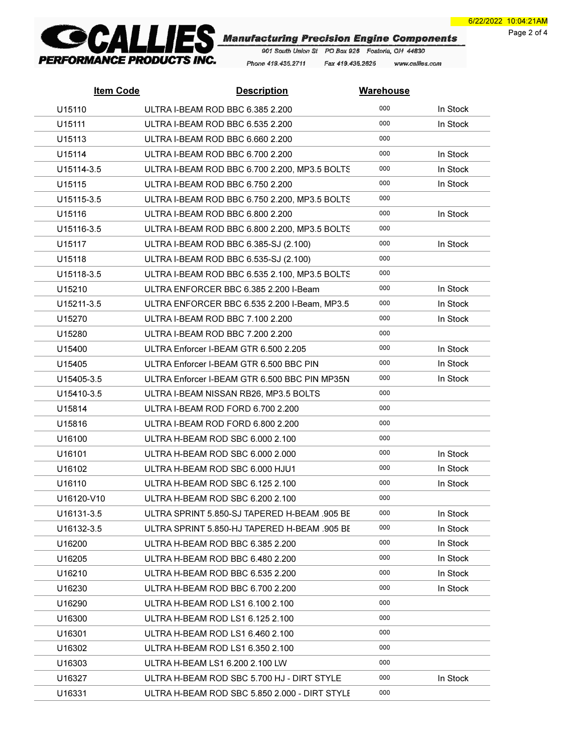Page 2 of 4



Phone 419.435.2711 Fax 419.435.2625 www.callies.com

| <b>Item Code</b> | <b>Description</b>                            | <b>Warehouse</b> |          |
|------------------|-----------------------------------------------|------------------|----------|
| U15110           | ULTRA I-BEAM ROD BBC 6.385 2.200              | 000              | In Stock |
| U15111           | ULTRA I-BEAM ROD BBC 6.535 2.200              | 000              | In Stock |
| U15113           | ULTRA I-BEAM ROD BBC 6.660 2.200              | 000              |          |
| U15114           | ULTRA I-BEAM ROD BBC 6.700 2.200              | 000              | In Stock |
| U15114-3.5       | ULTRA I-BEAM ROD BBC 6.700 2.200, MP3.5 BOLTS | 000              | In Stock |
| U15115           | ULTRA I-BEAM ROD BBC 6.750 2.200              | 000              | In Stock |
| U15115-3.5       | ULTRA I-BEAM ROD BBC 6.750 2.200, MP3.5 BOLTS | 000              |          |
| U15116           | ULTRA I-BEAM ROD BBC 6.800 2.200              | 000              | In Stock |
| U15116-3.5       | ULTRA I-BEAM ROD BBC 6.800 2.200, MP3.5 BOLTS | 000              |          |
| U15117           | ULTRA I-BEAM ROD BBC 6.385-SJ (2.100)         | 000              | In Stock |
| U15118           | ULTRA I-BEAM ROD BBC 6.535-SJ (2.100)         | 000              |          |
| U15118-3.5       | ULTRA I-BEAM ROD BBC 6.535 2.100, MP3.5 BOLTS | 000              |          |
| U15210           | ULTRA ENFORCER BBC 6.385 2.200 I-Beam         | 000              | In Stock |
| U15211-3.5       | ULTRA ENFORCER BBC 6.535 2.200 I-Beam, MP3.5  | 000              | In Stock |
| U15270           | ULTRA I-BEAM ROD BBC 7.100 2.200              | 000              | In Stock |
| U15280           | ULTRA I-BEAM ROD BBC 7.200 2.200              | 000              |          |
| U15400           | ULTRA Enforcer I-BEAM GTR 6.500 2.205         | 000              | In Stock |
| U15405           | ULTRA Enforcer I-BEAM GTR 6.500 BBC PIN       | 000              | In Stock |
| U15405-3.5       | ULTRA Enforcer I-BEAM GTR 6.500 BBC PIN MP35N | 000              | In Stock |
| U15410-3.5       | ULTRA I-BEAM NISSAN RB26, MP3.5 BOLTS         | 000              |          |
| U15814           | ULTRA I-BEAM ROD FORD 6.700 2.200             | 000              |          |
| U15816           | ULTRA I-BEAM ROD FORD 6.800 2.200             | 000              |          |
| U16100           | ULTRA H-BEAM ROD SBC 6.000 2.100              | 000              |          |
| U16101           | ULTRA H-BEAM ROD SBC 6.000 2.000              | 000              | In Stock |
| U16102           | ULTRA H-BEAM ROD SBC 6.000 HJU1               | 000              | In Stock |
| U16110           | ULTRA H-BEAM ROD SBC 6.125 2.100              | 000              | In Stock |
| U16120-V10       | ULTRA H-BEAM ROD SBC 6.200 2.100              | 000              |          |
| U16131-3.5       | ULTRA SPRINT 5.850-SJ TAPERED H-BEAM .905 BE  | 000              | In Stock |
| U16132-3.5       | ULTRA SPRINT 5.850-HJ TAPERED H-BEAM .905 BE  | 000              | In Stock |
| U16200           | ULTRA H-BEAM ROD BBC 6.385 2.200              | 000              | In Stock |
| U16205           | ULTRA H-BEAM ROD BBC 6.480 2.200              | 000              | In Stock |
| U16210           | ULTRA H-BEAM ROD BBC 6.535 2.200              | 000              | In Stock |
| U16230           | ULTRA H-BEAM ROD BBC 6.700 2.200              | 000              | In Stock |
| U16290           | ULTRA H-BEAM ROD LS1 6.100 2.100              | 000              |          |
| U16300           | ULTRA H-BEAM ROD LS1 6.125 2.100              | 000              |          |
| U16301           | ULTRA H-BEAM ROD LS1 6.460 2.100              | 000              |          |
| U16302           | ULTRA H-BEAM ROD LS1 6.350 2.100              | 000              |          |
| U16303           | ULTRA H-BEAM LS1 6.200 2.100 LW               | 000              |          |
| U16327           | ULTRA H-BEAM ROD SBC 5.700 HJ - DIRT STYLE    | 000              | In Stock |
| U16331           | ULTRA H-BEAM ROD SBC 5.850 2.000 - DIRT STYLE | 000              |          |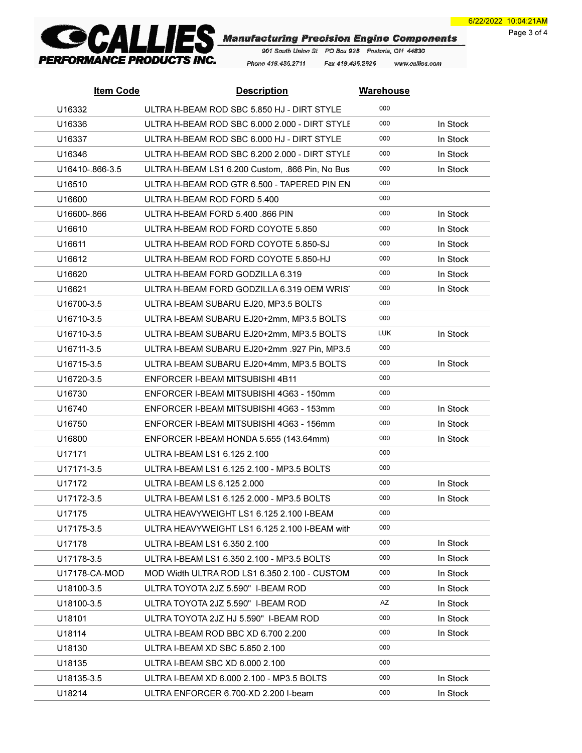Page 3 of 4



Phone 419.435.2711 Fax 419.435.2625 www.callies.com

| <b>Item Code</b> | <b>Description</b>                              | <b>Warehouse</b> |          |
|------------------|-------------------------------------------------|------------------|----------|
| U16332           | ULTRA H-BEAM ROD SBC 5.850 HJ - DIRT STYLE      | 000              |          |
| U16336           | ULTRA H-BEAM ROD SBC 6,000 2,000 - DIRT STYLE   | 000              | In Stock |
| U16337           | ULTRA H-BEAM ROD SBC 6,000 HJ - DIRT STYLE      | 000              | In Stock |
| U16346           | ULTRA H-BEAM ROD SBC 6.200 2.000 - DIRT STYLE   | 000              | In Stock |
| U16410-.866-3.5  | ULTRA H-BEAM LS1 6.200 Custom, .866 Pin, No Bus | 000              | In Stock |
| U16510           | ULTRA H-BEAM ROD GTR 6.500 - TAPERED PIN EN     | 000              |          |
| U16600           | ULTRA H-BEAM ROD FORD 5.400                     | 000              |          |
| U16600-.866      | ULTRA H-BEAM FORD 5.400 .866 PIN                | 000              | In Stock |
| U16610           | ULTRA H-BEAM ROD FORD COYOTE 5.850              | 000              | In Stock |
| U16611           | ULTRA H-BEAM ROD FORD COYOTE 5.850-SJ           | 000              | In Stock |
| U16612           | ULTRA H-BEAM ROD FORD COYOTE 5.850-HJ           | 000              | In Stock |
| U16620           | ULTRA H-BEAM FORD GODZILLA 6.319                | 000              | In Stock |
| U16621           | ULTRA H-BEAM FORD GODZILLA 6.319 OEM WRIST      | 000              | In Stock |
| U16700-3.5       | ULTRA I-BEAM SUBARU EJ20, MP3.5 BOLTS           | 000              |          |
| U16710-3.5       | ULTRA I-BEAM SUBARU EJ20+2mm, MP3.5 BOLTS       | 000              |          |
| U16710-3.5       | ULTRA I-BEAM SUBARU EJ20+2mm, MP3.5 BOLTS       | <b>LUK</b>       | In Stock |
| U16711-3.5       | ULTRA I-BEAM SUBARU EJ20+2mm .927 Pin, MP3.5    | 000              |          |
| U16715-3.5       | ULTRA I-BEAM SUBARU EJ20+4mm, MP3.5 BOLTS       | 000              | In Stock |
| U16720-3.5       | ENFORCER I-BEAM MITSUBISHI 4B11                 | 000              |          |
| U16730           | ENFORCER I-BEAM MITSUBISHI 4G63 - 150mm         | 000              |          |
| U16740           | ENFORCER I-BEAM MITSUBISHI 4G63 - 153mm         | 000              | In Stock |
| U16750           | ENFORCER I-BEAM MITSUBISHI 4G63 - 156mm         | 000              | In Stock |
| U16800           | ENFORCER I-BEAM HONDA 5.655 (143.64mm)          | 000              | In Stock |
| U17171           | ULTRA I-BEAM LS1 6.125 2.100                    | 000              |          |
| U17171-3.5       | ULTRA I-BEAM LS1 6.125 2.100 - MP3.5 BOLTS      | 000              |          |
| U17172           | ULTRA I-BEAM LS 6.125 2.000                     | 000              | In Stock |
| U17172-3.5       | ULTRA I-BEAM LS1 6.125 2.000 - MP3.5 BOLTS      | 000              | In Stock |
| U17175           | ULTRA HEAVYWEIGHT LS1 6.125 2.100 I-BEAM        | 000              |          |
| U17175-3.5       | ULTRA HEAVYWEIGHT LS1 6.125 2.100 I-BEAM with   | 000              |          |
| U17178           | ULTRA I-BEAM LS1 6.350 2.100                    | 000              | In Stock |
| U17178-3.5       | ULTRA I-BEAM LS1 6.350 2.100 - MP3.5 BOLTS      | 000              | In Stock |
| U17178-CA-MOD    | MOD Width ULTRA ROD LS1 6.350 2.100 - CUSTOM    | 000              | In Stock |
| U18100-3.5       | ULTRA TOYOTA 2JZ 5.590" I-BEAM ROD              | 000              | In Stock |
| U18100-3.5       | ULTRA TOYOTA 2JZ 5.590" I-BEAM ROD              | AZ               | In Stock |
| U18101           | ULTRA TOYOTA 2JZ HJ 5.590" I-BEAM ROD           | 000              | In Stock |
| U18114           | ULTRA I-BEAM ROD BBC XD 6.700 2.200             | 000              | In Stock |
| U18130           | ULTRA I-BEAM XD SBC 5.850 2.100                 | 000              |          |
| U18135           | ULTRA I-BEAM SBC XD 6.000 2.100                 | 000              |          |
| U18135-3.5       | ULTRA I-BEAM XD 6.000 2.100 - MP3.5 BOLTS       | 000              | In Stock |
| U18214           | ULTRA ENFORCER 6.700-XD 2.200 I-beam            | 000              | In Stock |